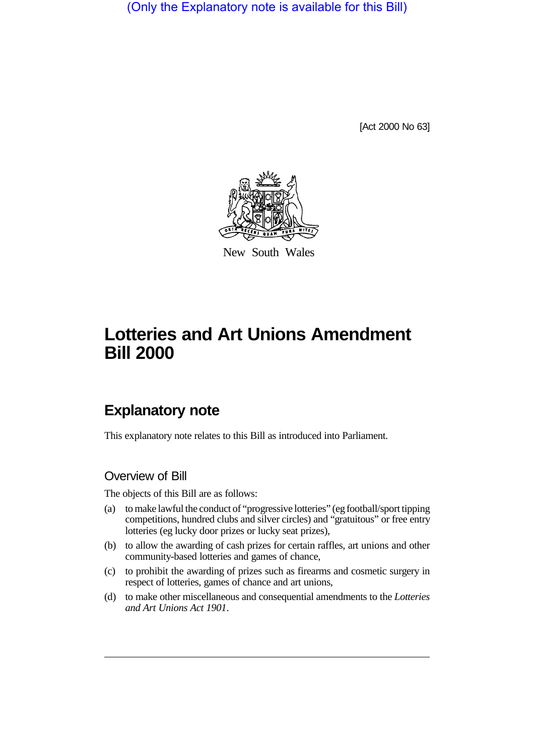(Only the Explanatory note is available for this Bill)

[Act 2000 No 63]



New South Wales

# **Lotteries and Art Unions Amendment Bill 2000**

# **Explanatory note**

This explanatory note relates to this Bill as introduced into Parliament.

### Overview of Bill

The objects of this Bill are as follows:

- (a) to make lawful the conduct of "progressive lotteries" (eg football/sport tipping competitions, hundred clubs and silver circles) and "gratuitous" or free entry lotteries (eg lucky door prizes or lucky seat prizes),
- (b) to allow the awarding of cash prizes for certain raffles, art unions and other community-based lotteries and games of chance,
- (c) to prohibit the awarding of prizes such as firearms and cosmetic surgery in respect of lotteries, games of chance and art unions,
- (d) to make other miscellaneous and consequential amendments to the *Lotteries and Art Unions Act 1901*.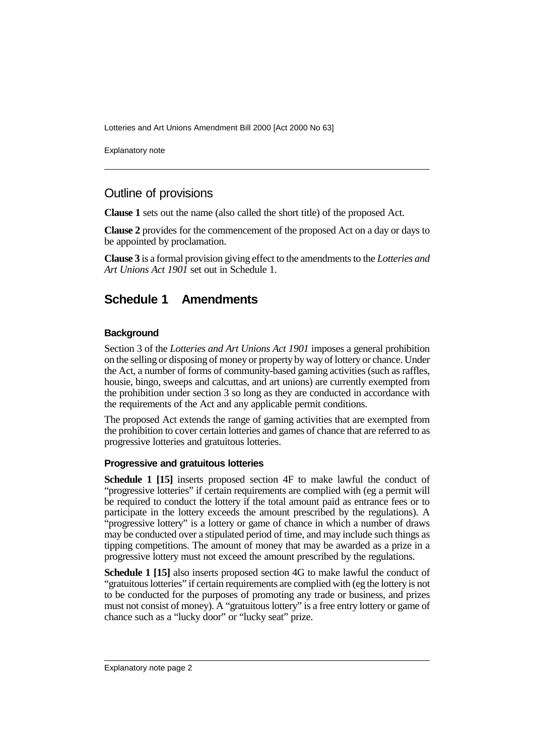Lotteries and Art Unions Amendment Bill 2000 [Act 2000 No 63]

Explanatory note

## Outline of provisions

**Clause 1** sets out the name (also called the short title) of the proposed Act.

**Clause 2** provides for the commencement of the proposed Act on a day or days to be appointed by proclamation.

**Clause 3** is a formal provision giving effect to the amendments to the *Lotteries and Art Unions Act 1901* set out in Schedule 1.

# **Schedule 1 Amendments**

#### **Background**

Section 3 of the *Lotteries and Art Unions Act 1901* imposes a general prohibition on the selling or disposing of money or property by way of lottery or chance. Under the Act, a number of forms of community-based gaming activities (such as raffles, housie, bingo, sweeps and calcuttas, and art unions) are currently exempted from the prohibition under section 3 so long as they are conducted in accordance with the requirements of the Act and any applicable permit conditions.

The proposed Act extends the range of gaming activities that are exempted from the prohibition to cover certain lotteries and games of chance that are referred to as progressive lotteries and gratuitous lotteries.

#### **Progressive and gratuitous lotteries**

**Schedule 1 [15]** inserts proposed section 4F to make lawful the conduct of "progressive lotteries" if certain requirements are complied with (eg a permit will be required to conduct the lottery if the total amount paid as entrance fees or to participate in the lottery exceeds the amount prescribed by the regulations). A "progressive lottery" is a lottery or game of chance in which a number of draws may be conducted over a stipulated period of time, and may include such things as tipping competitions. The amount of money that may be awarded as a prize in a progressive lottery must not exceed the amount prescribed by the regulations.

**Schedule 1 [15]** also inserts proposed section 4G to make lawful the conduct of "gratuitous lotteries" if certain requirements are complied with (eg the lottery is not to be conducted for the purposes of promoting any trade or business, and prizes must not consist of money). A "gratuitous lottery" is a free entry lottery or game of chance such as a "lucky door" or "lucky seat" prize.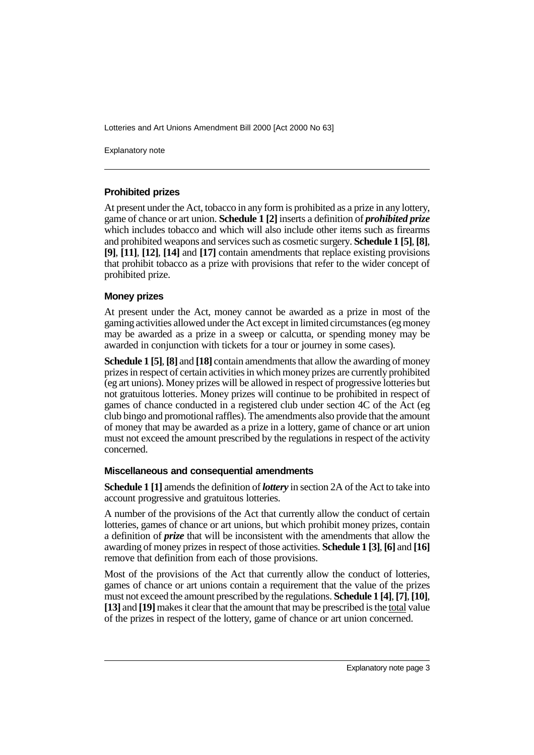Lotteries and Art Unions Amendment Bill 2000 [Act 2000 No 63]

Explanatory note

#### **Prohibited prizes**

At present under the Act, tobacco in any form is prohibited as a prize in any lottery, game of chance or art union. **Schedule 1 [2]** inserts a definition of *prohibited prize* which includes tobacco and which will also include other items such as firearms and prohibited weapons and services such as cosmetic surgery. **Schedule 1 [5]**, **[8]**, **[9]**, **[11]**, **[12]**, **[14]** and **[17]** contain amendments that replace existing provisions that prohibit tobacco as a prize with provisions that refer to the wider concept of prohibited prize.

#### **Money prizes**

At present under the Act, money cannot be awarded as a prize in most of the gaming activities allowed under the Act except in limited circumstances (eg money may be awarded as a prize in a sweep or calcutta, or spending money may be awarded in conjunction with tickets for a tour or journey in some cases).

**Schedule 1 [5]**, **[8]** and **[18]** contain amendments that allow the awarding of money prizes in respect of certain activities in which money prizes are currently prohibited (eg art unions). Money prizes will be allowed in respect of progressive lotteries but not gratuitous lotteries. Money prizes will continue to be prohibited in respect of games of chance conducted in a registered club under section 4C of the Act (eg club bingo and promotional raffles). The amendments also provide that the amount of money that may be awarded as a prize in a lottery, game of chance or art union must not exceed the amount prescribed by the regulations in respect of the activity concerned.

#### **Miscellaneous and consequential amendments**

**Schedule 1 [1]** amends the definition of *lottery* in section 2A of the Act to take into account progressive and gratuitous lotteries.

A number of the provisions of the Act that currently allow the conduct of certain lotteries, games of chance or art unions, but which prohibit money prizes, contain a definition of *prize* that will be inconsistent with the amendments that allow the awarding of money prizes in respect of those activities. **Schedule 1 [3]**, **[6]** and **[16]** remove that definition from each of those provisions.

Most of the provisions of the Act that currently allow the conduct of lotteries, games of chance or art unions contain a requirement that the value of the prizes must not exceed the amount prescribed by the regulations. **Schedule 1 [4]**, **[7]**, **[10]**, **[13]** and **[19]** makes it clear that the amount that may be prescribed is the total value of the prizes in respect of the lottery, game of chance or art union concerned.